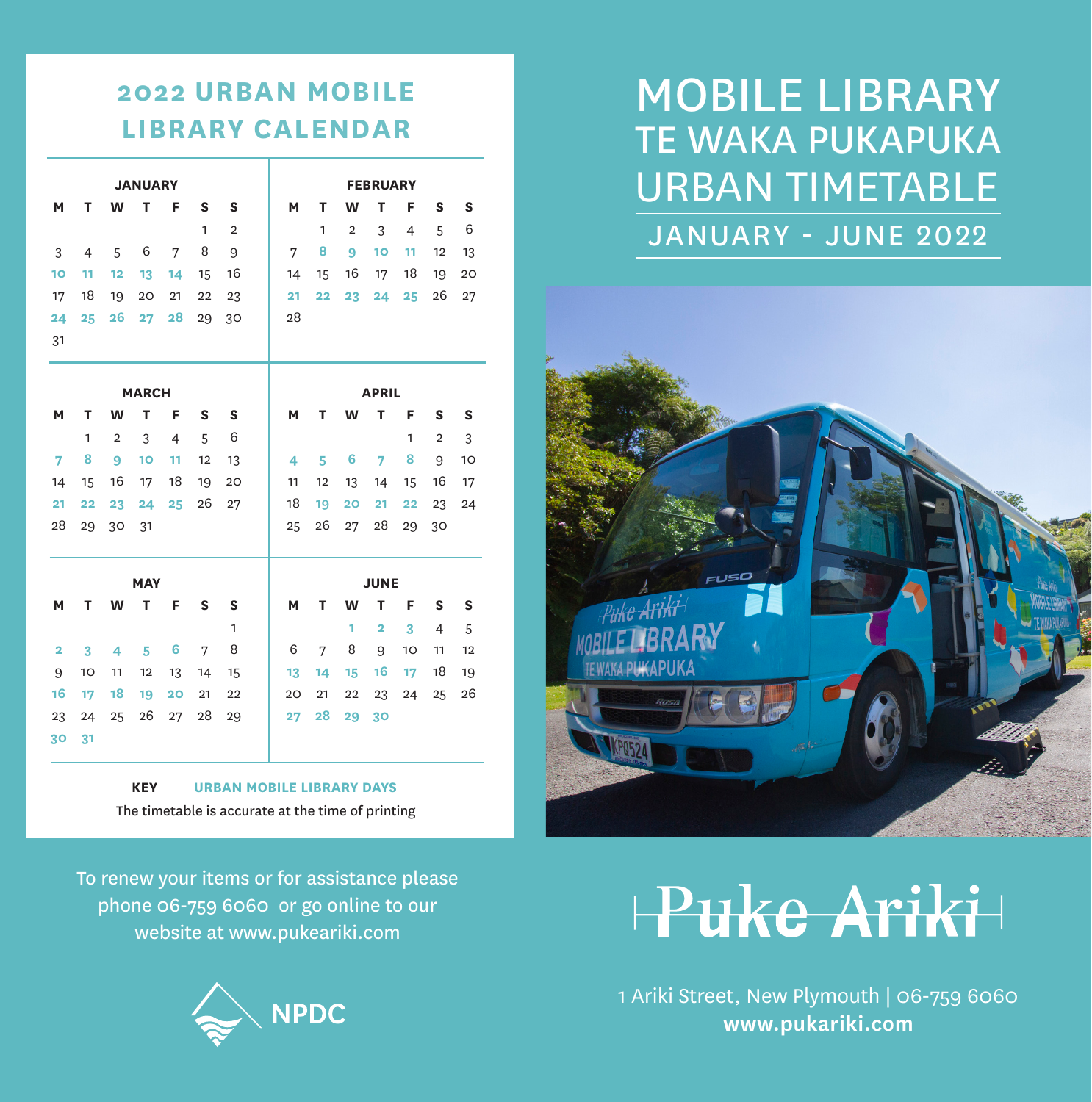### **2022 URBAN MOBILE LIBRARY CALENDAR**

| <b>JANUARY</b>          |                |                |            |                |              |                | <b>FEBRUARY</b> |              |                |                |              |                |    |
|-------------------------|----------------|----------------|------------|----------------|--------------|----------------|-----------------|--------------|----------------|----------------|--------------|----------------|----|
| M                       | т              | W              | т          | F              | S            | S              | М               | т            | W              | т              | F            | s              | S  |
|                         |                |                |            |                | $\mathbf{1}$ | $\overline{2}$ |                 | 1            | $\overline{2}$ | 3              | 4            | 5              | 6  |
| 3                       | $\overline{4}$ | 5              | 6          | 7              | 8            | 9              | 7               | 8            | 9              | 10             | 11           | 12             | 13 |
| 10                      | 11             | 12             | 13         | 14             | 15           | 16             | 14              | 15           | 16             | 17             | 18           | 19             | 20 |
| 17                      | 18             | 19             | 20         | 21             | 22           | 23             | 21              | 22           | 23             | 24             | 25           | 26             | 27 |
| 24                      | 25             | 26             | 27         | 28             | 29           | 30             | 28              |              |                |                |              |                |    |
| 31                      |                |                |            |                |              |                |                 |              |                |                |              |                |    |
|                         |                |                |            |                |              |                |                 |              |                |                |              |                |    |
| <b>MARCH</b>            |                |                |            |                |              |                |                 | <b>APRIL</b> |                |                |              |                |    |
| M                       | т              | W              | т          | F              | S            | S              | M               | т            | W              | т              | F            | S              | S  |
|                         | $\mathbf{1}$   | $\overline{2}$ | 3          | $\overline{4}$ | 5            | 6              |                 |              |                |                | $\mathbf{1}$ | $\overline{2}$ | 3  |
| $\overline{7}$          | 8              | 9              | 10         | 11             | 12           | 13             | 4               | 5            | 6              | 7              | 8            | 9              | 10 |
| 14                      | 15             | 16             | 17         | 18             | 19           | 20             | 11              | 12           | 13             | 14             | 15           | 16             | 17 |
| 21                      | 22             | 23             | 24         | 25             | 26           | 27             | 18              | 19           | 20             | 21             | 22           | 23             | 24 |
| 28                      | 29             | 30             | 31         |                |              |                | 25              | 26           | 27             | 28             | 29           | 30             |    |
|                         |                |                |            |                |              |                |                 |              |                |                |              |                |    |
|                         |                |                | <b>MAY</b> |                |              |                |                 |              |                | <b>JUNE</b>    |              |                |    |
| M                       | т              | W              | т          | F              | S            | S              | М               | т            | W              | т              | F            | S              | S  |
|                         |                |                |            |                |              | 1              |                 |              | 1              | $\overline{2}$ | 3            | $\overline{4}$ | 5  |
| $\overline{\mathbf{2}}$ | 3              | 4              | 5          | 6              | 7            | 8              | 6               | 7            | 8              | 9              | 10           | 11             | 12 |
| 9                       | 10             | 11             | 12         | 13             | 14           | 15             | 13              | 14           | 15             | 16             | 17           | 18             | 19 |
| 16                      | 17             | 18             | 19         | 20             | 21           | 22             | 20              | 21           | 22             | 23             | 24           | 25             | 26 |
| 23                      | 24             | 25             | 26         | 27             | 28           | 29             | 27              | 28           | 29             | 30             |              |                |    |
| 30.                     | 21             |                |            |                |              |                |                 |              |                |                |              |                |    |

**KEY URBAN MOBILE LIBRARY DAYS** The timetable is accurate at the time of printing

To renew your items or for assistance please phone 06-759 6060 or go online to our website at www.pukeariki.com



## JANUARY - JUNE 2022 TE WAKA PUKAPUKA MOBILE LIBRARY URBAN TIMETABLE



# Puke Ariki

1 Ariki Street, New Plymouth | 06-759 6060 **www.pukariki.com**